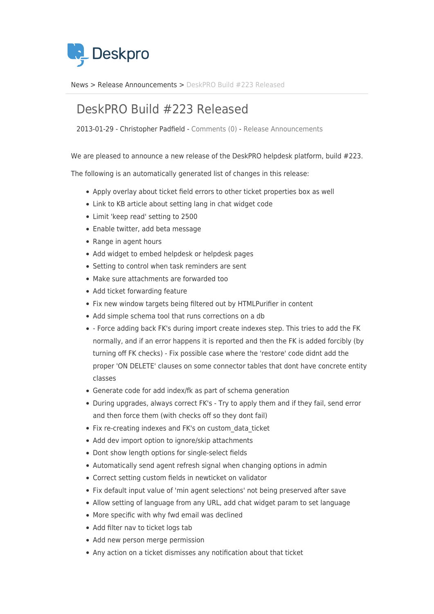

[News](https://support.deskpro.com/da/news) > [Release Announcements](https://support.deskpro.com/da/news/release-announcements) > [DeskPRO Build #223 Released](https://support.deskpro.com/da/news/posts/deskpro-build-223-released)

## DeskPRO Build #223 Released

2013-01-29 - Christopher Padfield - [Comments \(0\)](#page--1-0) - [Release Announcements](https://support.deskpro.com/da/news/release-announcements)

We are pleased to announce a new release of the DeskPRO helpdesk platform, build #223.

The following is an automatically generated list of changes in this release:

- Apply overlay about ticket field errors to other ticket properties box as well
- Link to KB article about setting lang in chat widget code
- Limit 'keep read' setting to 2500
- Enable twitter, add beta message
- Range in agent hours
- Add widget to embed helpdesk or helpdesk pages
- Setting to control when task reminders are sent
- Make sure attachments are forwarded too
- Add ticket forwarding feature
- Fix new window targets being filtered out by HTMLPurifier in content
- Add simple schema tool that runs corrections on a db
- Force adding back FK's during import create indexes step. This tries to add the FK normally, and if an error happens it is reported and then the FK is added forcibly (by turning off FK checks) - Fix possible case where the 'restore' code didnt add the proper 'ON DELETE' clauses on some connector tables that dont have concrete entity classes
- Generate code for add index/fk as part of schema generation
- During upgrades, always correct FK's Try to apply them and if they fail, send error and then force them (with checks off so they dont fail)
- Fix re-creating indexes and FK's on custom data ticket
- Add dev import option to ignore/skip attachments
- Dont show length options for single-select fields
- Automatically send agent refresh signal when changing options in admin
- Correct setting custom fields in newticket on validator
- Fix default input value of 'min agent selections' not being preserved after save
- Allow setting of language from any URL, add chat widget param to set language
- More specific with why fwd email was declined
- Add filter nav to ticket logs tab
- Add new person merge permission
- Any action on a ticket dismisses any notification about that ticket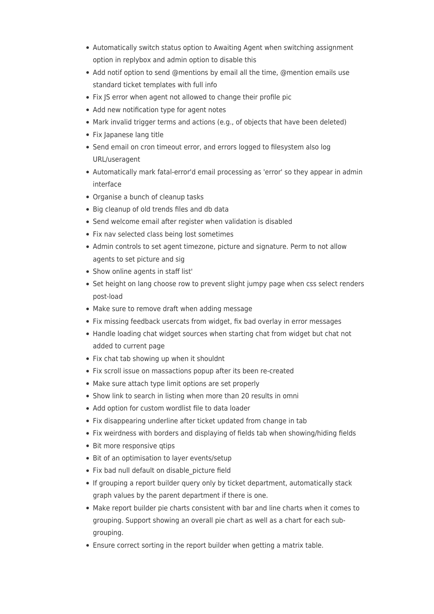- Automatically switch status option to Awaiting Agent when switching assignment option in replybox and admin option to disable this
- Add notif option to send @mentions by email all the time, @mention emails use standard ticket templates with full info
- Fix JS error when agent not allowed to change their profile pic
- Add new notification type for agent notes
- Mark invalid trigger terms and actions (e.g., of objects that have been deleted)
- Fix Japanese lang title
- Send email on cron timeout error, and errors logged to filesystem also log URL/useragent
- Automatically mark fatal-error'd email processing as 'error' so they appear in admin interface
- Organise a bunch of cleanup tasks
- Big cleanup of old trends files and db data
- Send welcome email after register when validation is disabled
- Fix nav selected class being lost sometimes
- Admin controls to set agent timezone, picture and signature. Perm to not allow agents to set picture and sig
- Show online agents in staff list'
- Set height on lang choose row to prevent slight jumpy page when css select renders post-load
- Make sure to remove draft when adding message
- Fix missing feedback usercats from widget, fix bad overlay in error messages
- Handle loading chat widget sources when starting chat from widget but chat not added to current page
- Fix chat tab showing up when it shouldnt
- Fix scroll issue on massactions popup after its been re-created
- Make sure attach type limit options are set properly
- Show link to search in listing when more than 20 results in omni
- Add option for custom wordlist file to data loader
- Fix disappearing underline after ticket updated from change in tab
- Fix weirdness with borders and displaying of fields tab when showing/hiding fields
- Bit more responsive gtips
- Bit of an optimisation to layer events/setup
- Fix bad null default on disable picture field
- If grouping a report builder query only by ticket department, automatically stack graph values by the parent department if there is one.
- Make report builder pie charts consistent with bar and line charts when it comes to grouping. Support showing an overall pie chart as well as a chart for each subgrouping.
- Ensure correct sorting in the report builder when getting a matrix table.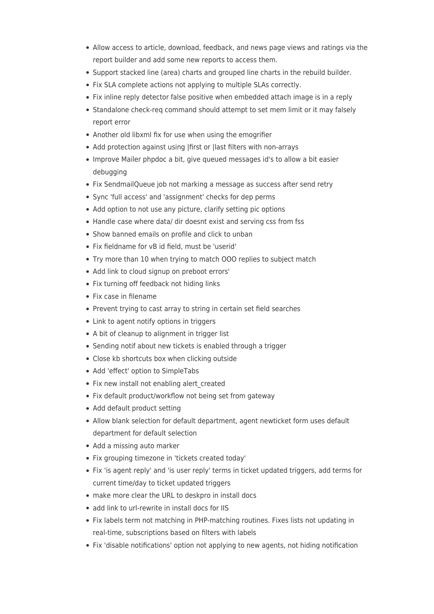- Allow access to article, download, feedback, and news page views and ratings via the report builder and add some new reports to access them.
- Support stacked line (area) charts and grouped line charts in the rebuild builder.
- Fix SLA complete actions not applying to multiple SLAs correctly.
- Fix inline reply detector false positive when embedded attach image is in a reply
- Standalone check-reg command should attempt to set mem limit or it may falsely report error
- Another old libxml fix for use when using the emogrifier
- Add protection against using |first or |last filters with non-arrays
- Improve Mailer phpdoc a bit, give queued messages id's to allow a bit easier debugging
- Fix SendmailQueue job not marking a message as success after send retry
- Sync 'full access' and 'assignment' checks for dep perms
- Add option to not use any picture, clarify setting pic options
- Handle case where data/ dir doesnt exist and serving css from fss
- Show banned emails on profile and click to unban
- Fix fieldname for vB id field, must be 'userid'
- Try more than 10 when trying to match OOO replies to subject match
- Add link to cloud signup on preboot errors'
- Fix turning off feedback not hiding links
- Fix case in filename
- Prevent trying to cast array to string in certain set field searches
- Link to agent notify options in triggers
- A bit of cleanup to alignment in trigger list
- Sending notif about new tickets is enabled through a trigger
- Close kb shortcuts box when clicking outside
- Add 'effect' option to SimpleTabs
- Fix new install not enabling alert created
- Fix default product/workflow not being set from gateway
- Add default product setting
- Allow blank selection for default department, agent newticket form uses default department for default selection
- Add a missing auto marker
- Fix grouping timezone in 'tickets created today'
- Fix 'is agent reply' and 'is user reply' terms in ticket updated triggers, add terms for current time/day to ticket updated triggers
- make more clear the URL to deskpro in install docs
- add link to url-rewrite in install docs for IIS
- Fix labels term not matching in PHP-matching routines. Fixes lists not updating in real-time, subscriptions based on filters with labels
- Fix 'disable notifications' option not applying to new agents, not hiding notification